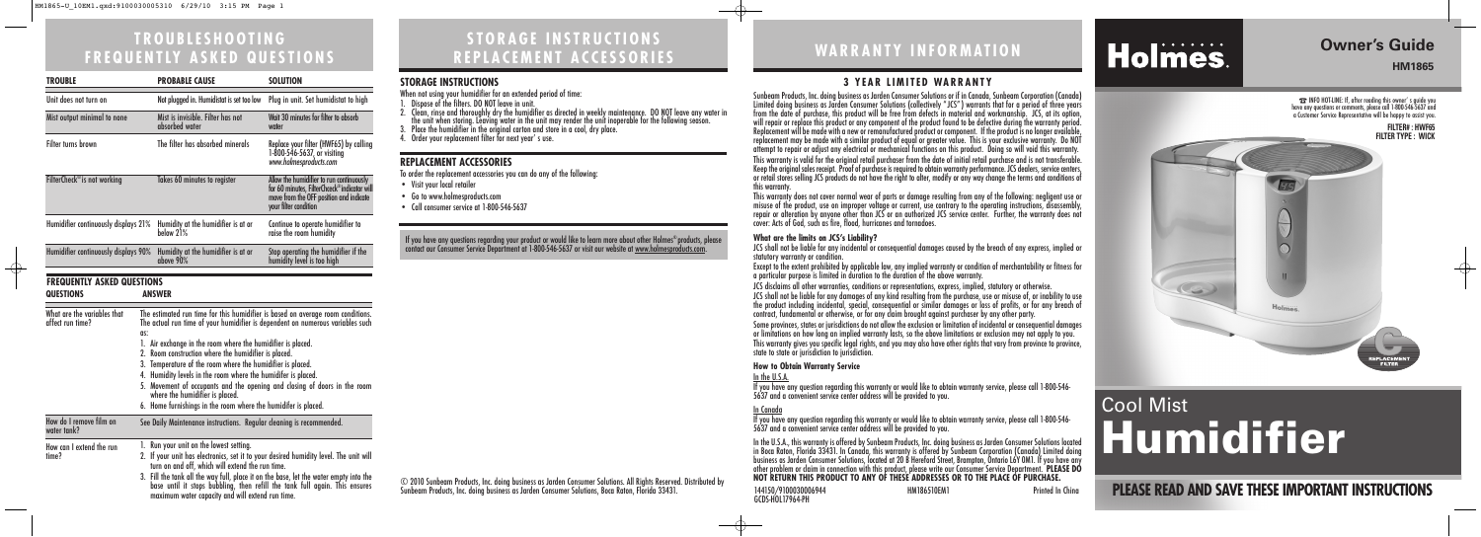### **STORAGE INSTRUCTIONS REPLACEMENT ACCESSORIES**

### **TROUBLESHOOTING FREQUENTLY ASKED QUESTIONS**

**PLEASE READ AND SAVE THESE IMPORTANT INSTRUCTIONS**

## **Owner's Guide**

**HM1865**

## **WARRANTY INFORMATION**

144150/9100030006944 HM186510EM1 Printed In China

Holmes.

## GCDS-HOL17964-PH

☎INFO HOT-LINE: If, after reading this owner' s guide you have any questions or comments, please call 1-800-546-5637 and a Customer Service Representative will be happy to assist you.

> **FILTER# : HWF65 FILTER TYPE : WICK**

> > $\oplus$



# Cool Mist **Humidifier**

© 2010 Sunbeam Products, Inc. doing business as Jarden Consumer Solutions. All Rights Reserved. Distributed by Sunbeam Products, Inc. doing business as Jarden Consumer Solutions, Boca Raton, Florida 33431.

#### **3 YEAR LIMITED WARRANTY**

JCS shall not be liable for any incidental or consequential damages caused by the breach of any express, implied or

Sunbeam Products, Inc. doing business as Jarden Consumer Solutions or if in Canada, Sunbeam Corporation (Canada) Limited doing business as Jarden Consumer Solutions (collectively " JCS" ) warrants that for a period of three years from the date of purchase, this product will be free from defects in material and workmanship. JCS, at its option, will repair or replace this product or any component of the product found to be defective during the warranty period. Replacement will be made with a new or remanufactured product or component. If the product is no longer available, replacement may be made with a similar product of equal or greater value. This is your exclusive warranty. Do NOT attempt to repair or adjust any electrical or mechanical functions on this product. Doing so will void this warranty. This warranty is valid for the original retail purchaser from the date of initial retail purchase and is not transferable. Keep the original sales receipt. Proof of purchase is required to obtain warranty performance. JCS dealers, service centers, or retail stores selling JCS products do not have the right to alter, modify or any way change the terms and conditions of this warranty. This warranty does not cover normal wear of parts or damage resulting from any of the following: negligent use or misuse of the product, use on improper voltage or current, use contrary to the operating instructions, disassembly, repair or alteration by anyone other than JCS or an authorized JCS service center. Further, the warranty does not cover: Acts of God, such as fire, flood, hurricanes and tornadoes.

Some provinces, states or jurisdictions do not allow the exclusion or limitation of incidental or consequential damages or limitations on how long an implied warranty lasts, so the above limitations or exclusion may not apply to you. This warranty gives you specific legal rights, and you may also have other rights that vary from province to province, state to state or jurisdiction to jurisdiction.

#### **What are the limits on JCS's Liability?**

statutory warranty or condition.

Except to the extent prohibited by applicable law, any implied warranty or condition of merchantability or fitness for a particular purpose is limited in duration to the duration of the above warranty.

JCS disclaims all other warranties, conditions or representations, express, implied, statutory or otherwise.

JCS shall not be liable for any damages of any kind resulting from the purchase, use or misuse of, or inability to use the product including incidental, special, consequential or similar damages or loss of profits, or for any breach of contract, fundamental or otherwise, or for any claim brought against purchaser by any other party.

If you have any questions regarding your product or would like to learn more about other Holmes®products, please contact our Consumer Service Department at 1-800-546-5637 or visit our website at <u>www.holmesproducts.com</u>.

#### **How to Obtain Warranty Service**

In the U.S.A. If you have any question regarding this warranty or would like to obtain warranty service, please call 1-800-546- 5637 and a convenient service center address will be provided to you.

In Canada

If you have any question regarding this warranty or would like to obtain warranty service, please call 1-800-546- 5637 and a convenient service center address will be provided to you.

In the U.S.A., this warranty is offered by Sunbeam Products, Inc. doing business as Jarden Consumer Solutions located in Boca Raton, Florida 33431. In Canada, this warranty is offered by Sunbeam Corporation (Canada) Limited doing business as Jarden Consumer Solutions, located at 20 B Hereford Street, Brampton, Ontario L6Y 0M1. If you have any other problem or claim in connection with this product, please write our Consumer Service Department. **PLEASE DO NOT RETURN THIS PRODUCT TO ANY OF THESE ADDRESSES OR TO THE PLACE OF PURCHASE.** 

#### **STORAGE INSTRUCTIONS**

When not using your humidifier for an extended period of time:

- 1. Dispose of the filters. DO NOT leave in unit.
- 2. Clean, rinse and thoroughly dry the humidifier as directed in weekly maintenance. DO NOT leave any water in<br>the unit when storing. Leaving water in the unit may render the unit inoperable for the following season.<br>3. Pl
- 
- 4. Order your replacement filter for next year' s use.

#### **REPLACEMENT ACCESSORIES**

To order the replacement accessories you can do any of the following:

- Visit your local retailer
- Go to www.holmesproducts.com
- Call consumer service at 1-800-546-5637

| <b>TROUBLE</b>                                  |                                                                                                                                                                                                                                                                                                                                                                                                                                                                                                                                                                                                                  | <b>PROBABLE CAUSE</b>                                                                                                                                                                                                                                                                                                                                                                                            | <b>SOLUTION</b>                                                                                                                                             |  |
|-------------------------------------------------|------------------------------------------------------------------------------------------------------------------------------------------------------------------------------------------------------------------------------------------------------------------------------------------------------------------------------------------------------------------------------------------------------------------------------------------------------------------------------------------------------------------------------------------------------------------------------------------------------------------|------------------------------------------------------------------------------------------------------------------------------------------------------------------------------------------------------------------------------------------------------------------------------------------------------------------------------------------------------------------------------------------------------------------|-------------------------------------------------------------------------------------------------------------------------------------------------------------|--|
| Unit does not turn on                           |                                                                                                                                                                                                                                                                                                                                                                                                                                                                                                                                                                                                                  | Not plugged in. Humidistat is set too low                                                                                                                                                                                                                                                                                                                                                                        | Plug in unit. Set humidistat to high                                                                                                                        |  |
| Mist output minimal to none                     |                                                                                                                                                                                                                                                                                                                                                                                                                                                                                                                                                                                                                  | Mist is invisible. Filter has not<br>absorbed water                                                                                                                                                                                                                                                                                                                                                              | Wait 30 minutes for filter to absorb<br>water                                                                                                               |  |
| <b>Filter turns brown</b>                       |                                                                                                                                                                                                                                                                                                                                                                                                                                                                                                                                                                                                                  | The filter has absorbed minerals                                                                                                                                                                                                                                                                                                                                                                                 | Replace your filter (HWF65) by calling<br>1-800-546-5637, or visiting<br>www.holmesproducts.com                                                             |  |
| FilterCheck <sup>®</sup> is not working         |                                                                                                                                                                                                                                                                                                                                                                                                                                                                                                                                                                                                                  | Takes 60 minutes to register                                                                                                                                                                                                                                                                                                                                                                                     | Allow the humidifier to run continuously<br>for 60 minutes, FilterChceck®indicator will<br>move from the OFF position and indicate<br>your filter condition |  |
| Humidifier continuously displays 21%            |                                                                                                                                                                                                                                                                                                                                                                                                                                                                                                                                                                                                                  | Humidity at the humidifier is at or<br>below 21%                                                                                                                                                                                                                                                                                                                                                                 | Continue to operate humidifier to<br>raise the room humidity                                                                                                |  |
| Humidifier continuously displays 90%            |                                                                                                                                                                                                                                                                                                                                                                                                                                                                                                                                                                                                                  | Humidity at the humidifier is at or<br>above 90%                                                                                                                                                                                                                                                                                                                                                                 | Stop operating the humidifier if the<br>humidity level is too high                                                                                          |  |
| <b>FREQUENTLY ASKED QUESTIONS</b>               |                                                                                                                                                                                                                                                                                                                                                                                                                                                                                                                                                                                                                  |                                                                                                                                                                                                                                                                                                                                                                                                                  |                                                                                                                                                             |  |
| <b>QUESTIONS</b>                                |                                                                                                                                                                                                                                                                                                                                                                                                                                                                                                                                                                                                                  | <b>ANSWER</b>                                                                                                                                                                                                                                                                                                                                                                                                    |                                                                                                                                                             |  |
| What are the variables that<br>affect run time? | The estimated run time for this humidifier is based on average room conditions.<br>The actual run time of your humidifier is dependent on numerous variables such<br>as:<br>1. Air exchange in the room where the humidifier is placed.<br>2. Room construction where the humidifier is placed.<br>3. Temperature of the room where the humidifier is placed.<br>4. Humidity levels in the room where the humidifer is placed.<br>5. Movement of occupants and the opening and closing of doors in the room<br>where the humidifier is placed.<br>6. Home furnishings in the room where the humidifer is placed. |                                                                                                                                                                                                                                                                                                                                                                                                                  |                                                                                                                                                             |  |
| How do I remove film on<br>water tank?          |                                                                                                                                                                                                                                                                                                                                                                                                                                                                                                                                                                                                                  | See Daily Maintenance instructions. Regular cleaning is recommended.                                                                                                                                                                                                                                                                                                                                             |                                                                                                                                                             |  |
| How can I extend the run<br>time?               |                                                                                                                                                                                                                                                                                                                                                                                                                                                                                                                                                                                                                  | 1. Run your unit on the lowest setting.<br>2. If your unit has electronics, set it to your desired humidity level. The unit will<br>turn on and off, which will extend the run time.<br>3. Fill the tank all the way full, place it on the base, let the water empty into the<br>base until it stops bubbling, then refill the tank full again. This ensures<br>maximum water capacity and will extend run time. |                                                                                                                                                             |  |

 $\bigoplus$